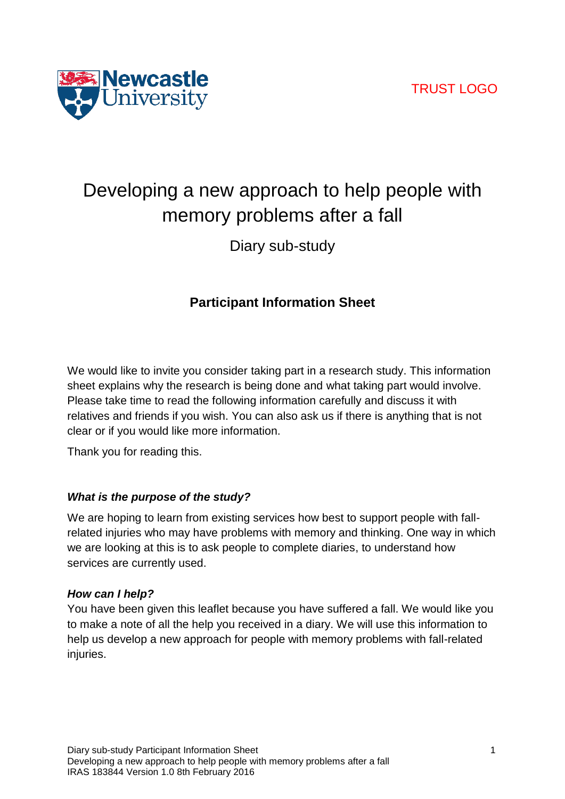

# Developing a new approach to help people with memory problems after a fall

Diary sub-study

# **Participant Information Sheet**

We would like to invite you consider taking part in a research study. This information sheet explains why the research is being done and what taking part would involve. Please take time to read the following information carefully and discuss it with relatives and friends if you wish. You can also ask us if there is anything that is not clear or if you would like more information.

Thank you for reading this.

# *What is the purpose of the study?*

We are hoping to learn from existing services how best to support people with fallrelated injuries who may have problems with memory and thinking. One way in which we are looking at this is to ask people to complete diaries, to understand how services are currently used.

# *How can I help?*

You have been given this leaflet because you have suffered a fall. We would like you to make a note of all the help you received in a diary. We will use this information to help us develop a new approach for people with memory problems with fall-related injuries.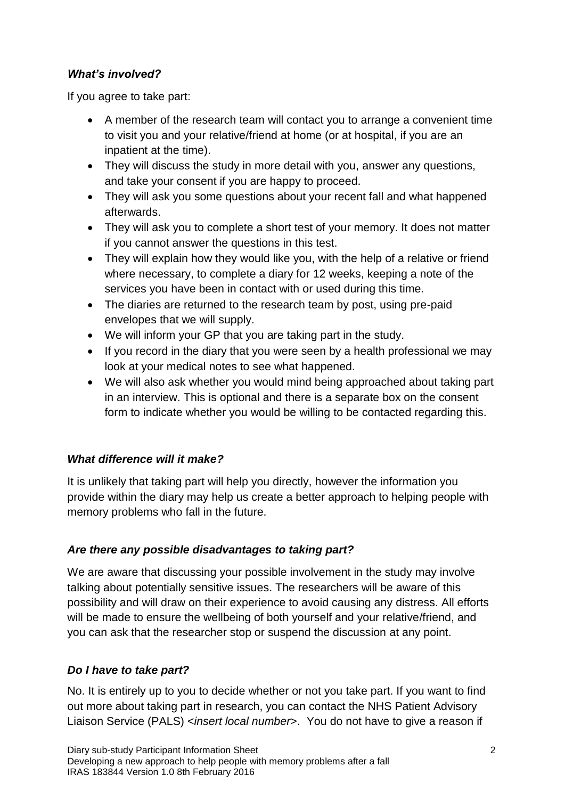# *What's involved?*

If you agree to take part:

- A member of the research team will contact you to arrange a convenient time to visit you and your relative/friend at home (or at hospital, if you are an inpatient at the time).
- They will discuss the study in more detail with you, answer any questions, and take your consent if you are happy to proceed.
- They will ask you some questions about your recent fall and what happened afterwards.
- They will ask you to complete a short test of your memory. It does not matter if you cannot answer the questions in this test.
- They will explain how they would like you, with the help of a relative or friend where necessary, to complete a diary for 12 weeks, keeping a note of the services you have been in contact with or used during this time.
- The diaries are returned to the research team by post, using pre-paid envelopes that we will supply.
- We will inform your GP that you are taking part in the study.
- If you record in the diary that you were seen by a health professional we may look at your medical notes to see what happened.
- We will also ask whether you would mind being approached about taking part in an interview. This is optional and there is a separate box on the consent form to indicate whether you would be willing to be contacted regarding this.

# *What difference will it make?*

It is unlikely that taking part will help you directly, however the information you provide within the diary may help us create a better approach to helping people with memory problems who fall in the future.

# *Are there any possible disadvantages to taking part?*

We are aware that discussing your possible involvement in the study may involve talking about potentially sensitive issues. The researchers will be aware of this possibility and will draw on their experience to avoid causing any distress. All efforts will be made to ensure the wellbeing of both yourself and your relative/friend, and you can ask that the researcher stop or suspend the discussion at any point.

# *Do I have to take part?*

No. It is entirely up to you to decide whether or not you take part. If you want to find out more about taking part in research, you can contact the NHS Patient Advisory Liaison Service (PALS) <*insert local number*>. You do not have to give a reason if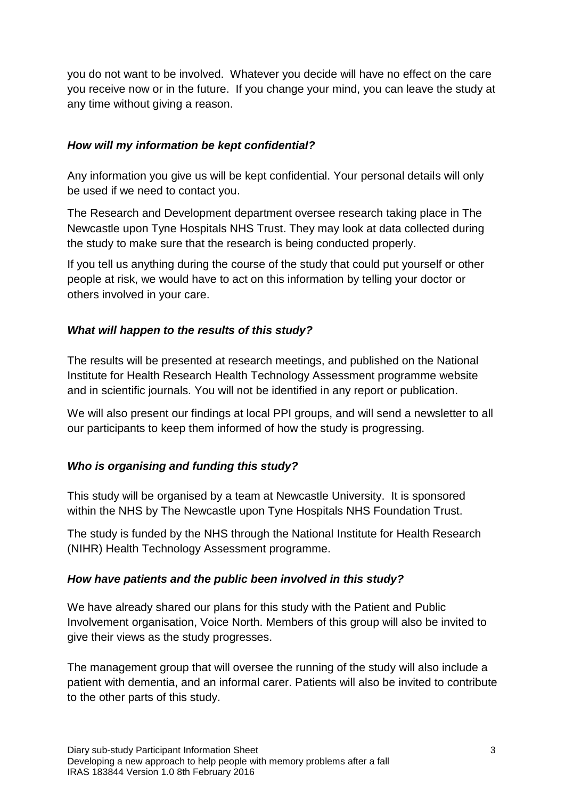you do not want to be involved. Whatever you decide will have no effect on the care you receive now or in the future. If you change your mind, you can leave the study at any time without giving a reason.

#### *How will my information be kept confidential?*

Any information you give us will be kept confidential. Your personal details will only be used if we need to contact you.

The Research and Development department oversee research taking place in The Newcastle upon Tyne Hospitals NHS Trust. They may look at data collected during the study to make sure that the research is being conducted properly.

If you tell us anything during the course of the study that could put yourself or other people at risk, we would have to act on this information by telling your doctor or others involved in your care.

#### *What will happen to the results of this study?*

The results will be presented at research meetings, and published on the National Institute for Health Research Health Technology Assessment programme website and in scientific journals. You will not be identified in any report or publication.

We will also present our findings at local PPI groups, and will send a newsletter to all our participants to keep them informed of how the study is progressing.

# *Who is organising and funding this study?*

This study will be organised by a team at Newcastle University. It is sponsored within the NHS by The Newcastle upon Tyne Hospitals NHS Foundation Trust.

The study is funded by the NHS through the National Institute for Health Research (NIHR) Health Technology Assessment programme.

#### *How have patients and the public been involved in this study?*

We have already shared our plans for this study with the Patient and Public Involvement organisation, Voice North. Members of this group will also be invited to give their views as the study progresses.

The management group that will oversee the running of the study will also include a patient with dementia, and an informal carer. Patients will also be invited to contribute to the other parts of this study.